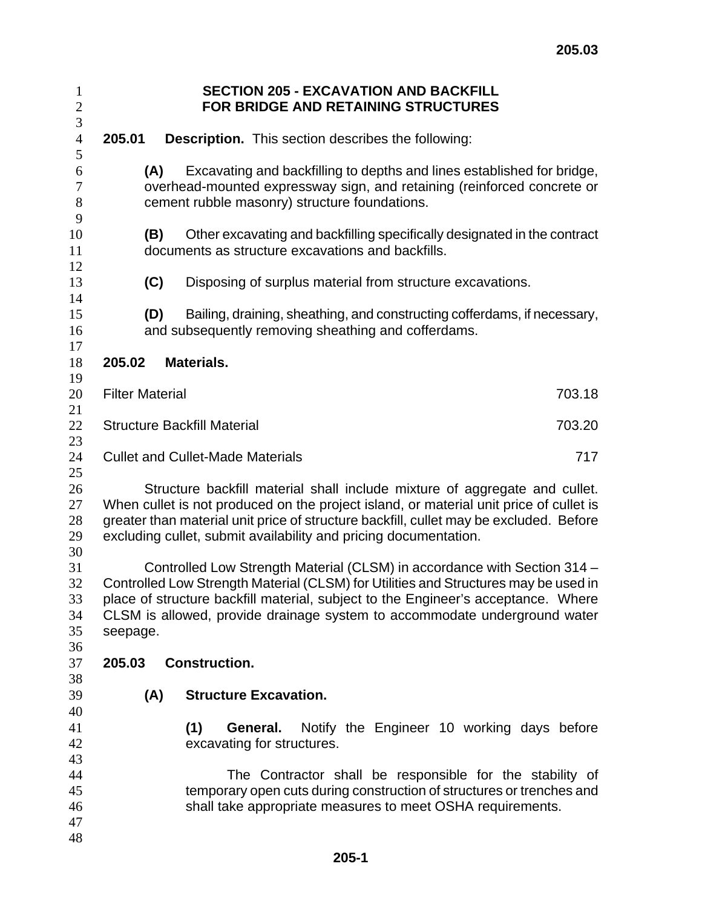| $\mathbf{1}$<br>$\boldsymbol{2}$ |                                                                                                                                                                                                                                                                                                                                               |                      |                              |  | <b>SECTION 205 - EXCAVATION AND BACKFILL</b><br>FOR BRIDGE AND RETAINING STRUCTURES                                                                                                             |  |  |  |
|----------------------------------|-----------------------------------------------------------------------------------------------------------------------------------------------------------------------------------------------------------------------------------------------------------------------------------------------------------------------------------------------|----------------------|------------------------------|--|-------------------------------------------------------------------------------------------------------------------------------------------------------------------------------------------------|--|--|--|
| 3                                |                                                                                                                                                                                                                                                                                                                                               |                      |                              |  |                                                                                                                                                                                                 |  |  |  |
| $\overline{4}$<br>5              | 205.01                                                                                                                                                                                                                                                                                                                                        |                      |                              |  | <b>Description.</b> This section describes the following:                                                                                                                                       |  |  |  |
| 6<br>$\tau$<br>$8\,$<br>9        | Excavating and backfilling to depths and lines established for bridge,<br>(A)<br>overhead-mounted expressway sign, and retaining (reinforced concrete or<br>cement rubble masonry) structure foundations.                                                                                                                                     |                      |                              |  |                                                                                                                                                                                                 |  |  |  |
| 10<br>11<br>12                   | Other excavating and backfilling specifically designated in the contract<br>(B)<br>documents as structure excavations and backfills.                                                                                                                                                                                                          |                      |                              |  |                                                                                                                                                                                                 |  |  |  |
| 13<br>14                         | (C)                                                                                                                                                                                                                                                                                                                                           |                      |                              |  | Disposing of surplus material from structure excavations.                                                                                                                                       |  |  |  |
| 15<br>16<br>17                   |                                                                                                                                                                                                                                                                                                                                               | (D)                  |                              |  | Bailing, draining, sheathing, and constructing cofferdams, if necessary,<br>and subsequently removing sheathing and cofferdams.                                                                 |  |  |  |
| 18<br>19                         | 205.02                                                                                                                                                                                                                                                                                                                                        | Materials.           |                              |  |                                                                                                                                                                                                 |  |  |  |
| 20<br>21                         | <b>Filter Material</b><br>703.18                                                                                                                                                                                                                                                                                                              |                      |                              |  |                                                                                                                                                                                                 |  |  |  |
| 22<br>23                         | <b>Structure Backfill Material</b><br>703.20                                                                                                                                                                                                                                                                                                  |                      |                              |  |                                                                                                                                                                                                 |  |  |  |
| 24<br>25                         | <b>Cullet and Cullet-Made Materials</b><br>717                                                                                                                                                                                                                                                                                                |                      |                              |  |                                                                                                                                                                                                 |  |  |  |
| 26<br>27<br>28<br>29<br>30       | Structure backfill material shall include mixture of aggregate and cullet.<br>When cullet is not produced on the project island, or material unit price of cullet is<br>greater than material unit price of structure backfill, cullet may be excluded. Before<br>excluding cullet, submit availability and pricing documentation.            |                      |                              |  |                                                                                                                                                                                                 |  |  |  |
| 31<br>32<br>33<br>34<br>35<br>36 | Controlled Low Strength Material (CLSM) in accordance with Section 314 -<br>Controlled Low Strength Material (CLSM) for Utilities and Structures may be used in<br>place of structure backfill material, subject to the Engineer's acceptance. Where<br>CLSM is allowed, provide drainage system to accommodate underground water<br>seepage. |                      |                              |  |                                                                                                                                                                                                 |  |  |  |
| 37                               | 205.03                                                                                                                                                                                                                                                                                                                                        | <b>Construction.</b> |                              |  |                                                                                                                                                                                                 |  |  |  |
| 38<br>39<br>40                   | (A)                                                                                                                                                                                                                                                                                                                                           |                      | <b>Structure Excavation.</b> |  |                                                                                                                                                                                                 |  |  |  |
| 41<br>42<br>43                   |                                                                                                                                                                                                                                                                                                                                               | (1)                  | excavating for structures.   |  | <b>General.</b> Notify the Engineer 10 working days before                                                                                                                                      |  |  |  |
| 44<br>45<br>46<br>47             |                                                                                                                                                                                                                                                                                                                                               |                      |                              |  | The Contractor shall be responsible for the stability of<br>temporary open cuts during construction of structures or trenches and<br>shall take appropriate measures to meet OSHA requirements. |  |  |  |
| 48                               |                                                                                                                                                                                                                                                                                                                                               |                      |                              |  |                                                                                                                                                                                                 |  |  |  |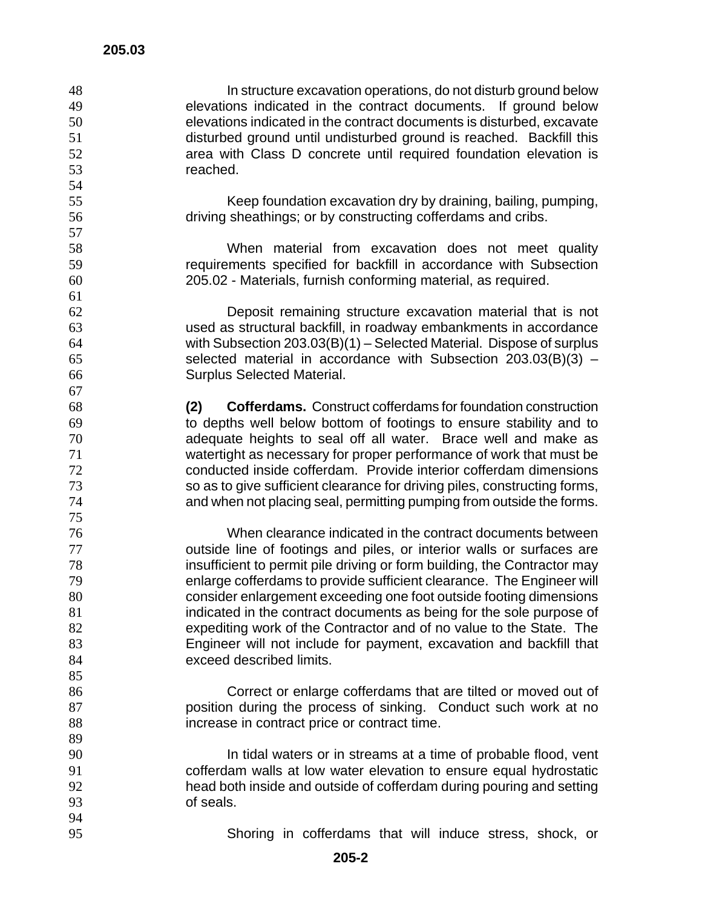In structure excavation operations, do not disturb ground below elevations indicated in the contract documents. If ground below elevations indicated in the contract documents is disturbed, excavate disturbed ground until undisturbed ground is reached. Backfill this area with Class D concrete until required foundation elevation is reached. Keep foundation excavation dry by draining, bailing, pumping, driving sheathings; or by constructing cofferdams and cribs. When material from excavation does not meet quality requirements specified for backfill in accordance with Subsection 205.02 - Materials, furnish conforming material, as required. Deposit remaining structure excavation material that is not used as structural backfill, in roadway embankments in accordance with Subsection 203.03(B)(1) – Selected Material. Dispose of surplus selected material in accordance with Subsection 203.03(B)(3) – Surplus Selected Material. **(2) Cofferdams.** Construct cofferdams for foundation construction to depths well below bottom of footings to ensure stability and to adequate heights to seal off all water. Brace well and make as watertight as necessary for proper performance of work that must be conducted inside cofferdam. Provide interior cofferdam dimensions so as to give sufficient clearance for driving piles, constructing forms, and when not placing seal, permitting pumping from outside the forms. When clearance indicated in the contract documents between outside line of footings and piles, or interior walls or surfaces are insufficient to permit pile driving or form building, the Contractor may enlarge cofferdams to provide sufficient clearance. The Engineer will consider enlargement exceeding one foot outside footing dimensions indicated in the contract documents as being for the sole purpose of expediting work of the Contractor and of no value to the State. The Engineer will not include for payment, excavation and backfill that exceed described limits. Correct or enlarge cofferdams that are tilted or moved out of position during the process of sinking. Conduct such work at no increase in contract price or contract time. 90 In tidal waters or in streams at a time of probable flood, vent cofferdam walls at low water elevation to ensure equal hydrostatic head both inside and outside of cofferdam during pouring and setting of seals. Shoring in cofferdams that will induce stress, shock, or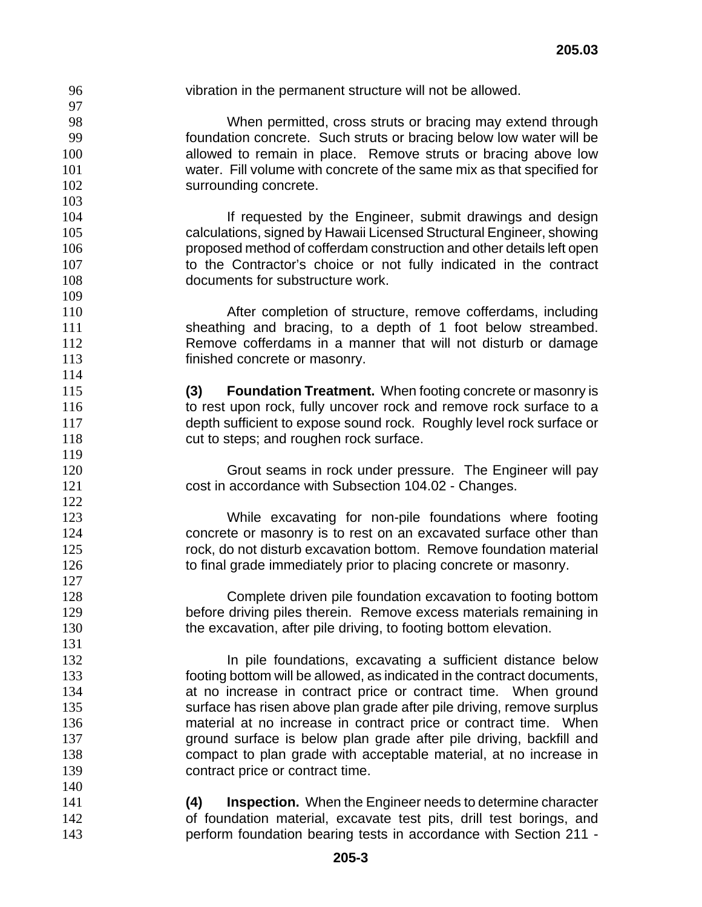vibration in the permanent structure will not be allowed. When permitted, cross struts or bracing may extend through foundation concrete. Such struts or bracing below low water will be 100 allowed to remain in place. Remove struts or bracing above low water. Fill volume with concrete of the same mix as that specified for 102 surrounding concrete. **If requested by the Engineer, submit drawings and design** calculations, signed by Hawaii Licensed Structural Engineer, showing proposed method of cofferdam construction and other details left open to the Contractor's choice or not fully indicated in the contract 108 documents for substructure work. After completion of structure, remove cofferdams, including sheathing and bracing, to a depth of 1 foot below streambed. Remove cofferdams in a manner that will not disturb or damage finished concrete or masonry. **(3) Foundation Treatment.** When footing concrete or masonry is to rest upon rock, fully uncover rock and remove rock surface to a depth sufficient to expose sound rock. Roughly level rock surface or 118 cut to steps; and roughen rock surface. Grout seams in rock under pressure. The Engineer will pay cost in accordance with Subsection 104.02 - Changes. While excavating for non-pile foundations where footing concrete or masonry is to rest on an excavated surface other than rock, do not disturb excavation bottom. Remove foundation material 126 to final grade immediately prior to placing concrete or masonry. Complete driven pile foundation excavation to footing bottom before driving piles therein. Remove excess materials remaining in 130 the excavation, after pile driving, to footing bottom elevation. **In pile foundations, excavating a sufficient distance below** footing bottom will be allowed, as indicated in the contract documents, at no increase in contract price or contract time. When ground surface has risen above plan grade after pile driving, remove surplus material at no increase in contract price or contract time. When ground surface is below plan grade after pile driving, backfill and compact to plan grade with acceptable material, at no increase in **contract price or contract time. (4) Inspection.** When the Engineer needs to determine character of foundation material, excavate test pits, drill test borings, and perform foundation bearing tests in accordance with Section 211 -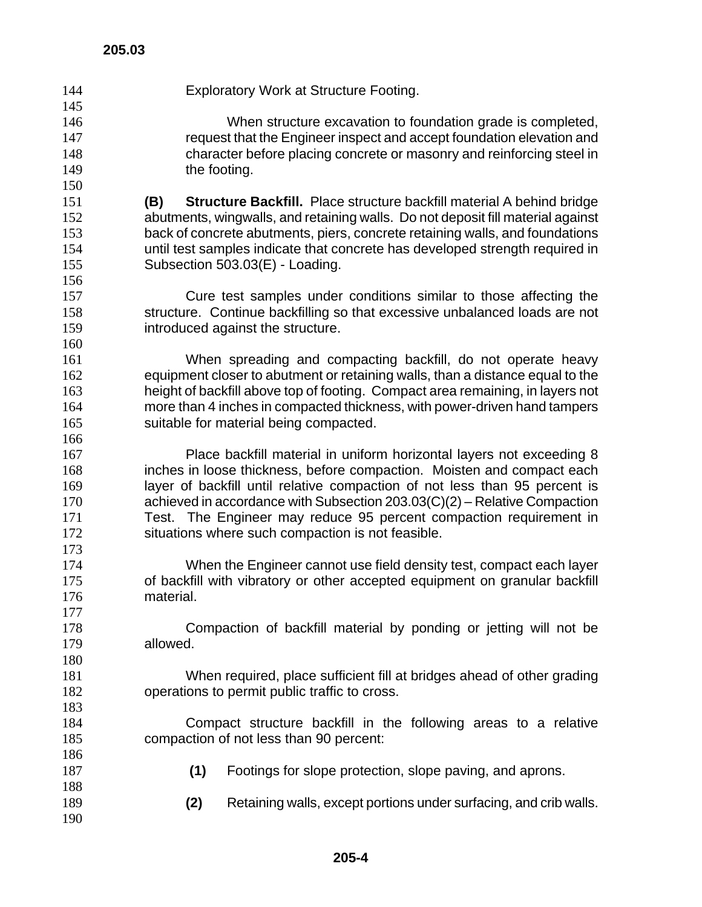Exploratory Work at Structure Footing. When structure excavation to foundation grade is completed, request that the Engineer inspect and accept foundation elevation and character before placing concrete or masonry and reinforcing steel in 149 the footing. **(B) Structure Backfill.** Place structure backfill material A behind bridge abutments, wingwalls, and retaining walls. Do not deposit fill material against back of concrete abutments, piers, concrete retaining walls, and foundations until test samples indicate that concrete has developed strength required in Subsection 503.03(E) - Loading. Cure test samples under conditions similar to those affecting the structure. Continue backfilling so that excessive unbalanced loads are not introduced against the structure. When spreading and compacting backfill, do not operate heavy equipment closer to abutment or retaining walls, than a distance equal to the height of backfill above top of footing. Compact area remaining, in layers not more than 4 inches in compacted thickness, with power-driven hand tampers suitable for material being compacted. Place backfill material in uniform horizontal layers not exceeding 8 inches in loose thickness, before compaction. Moisten and compact each layer of backfill until relative compaction of not less than 95 percent is achieved in accordance with Subsection 203.03(C)(2) – Relative Compaction Test. The Engineer may reduce 95 percent compaction requirement in situations where such compaction is not feasible. When the Engineer cannot use field density test, compact each layer of backfill with vibratory or other accepted equipment on granular backfill material. Compaction of backfill material by ponding or jetting will not be allowed. When required, place sufficient fill at bridges ahead of other grading operations to permit public traffic to cross. Compact structure backfill in the following areas to a relative compaction of not less than 90 percent: **(1)** Footings for slope protection, slope paving, and aprons. **(2)** Retaining walls, except portions under surfacing, and crib walls.